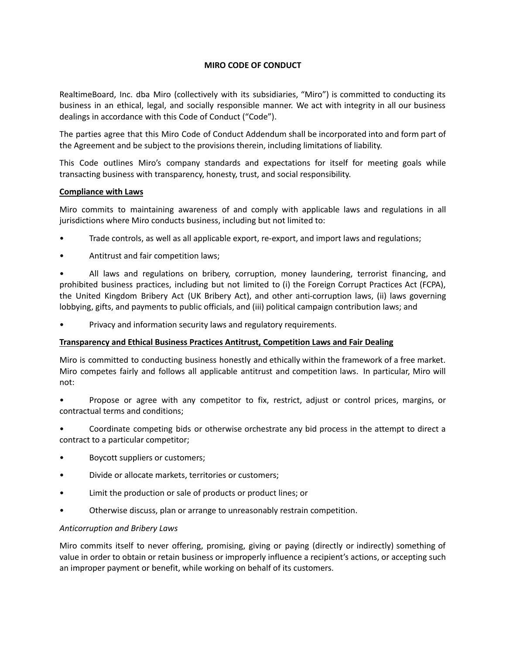## **MIRO CODE OF CONDUCT**

RealtimeBoard, Inc. dba Miro (collectively with its subsidiaries, "Miro") is committed to conducting its business in an ethical, legal, and socially responsible manner. We act with integrity in all our business dealings in accordance with this Code of Conduct ("Code").

The parties agree that this Miro Code of Conduct Addendum shall be incorporated into and form part of the Agreement and be subject to the provisions therein, including limitations of liability.

This Code outlines Miro's company standards and expectations for itself for meeting goals while transacting business with transparency, honesty, trust, and social responsibility.

### **Compliance with Laws**

Miro commits to maintaining awareness of and comply with applicable laws and regulations in all jurisdictions where Miro conducts business, including but not limited to:

- Trade controls, as well as all applicable export, re-export, and import laws and regulations;
- Antitrust and fair competition laws;

• All laws and regulations on bribery, corruption, money laundering, terrorist financing, and prohibited business practices, including but not limited to (i) the Foreign Corrupt Practices Act (FCPA), the United Kingdom Bribery Act (UK Bribery Act), and other anti-corruption laws, (ii) laws governing lobbying, gifts, and payments to public officials, and (iii) political campaign contribution laws; and

• Privacy and information security laws and regulatory requirements.

### **Transparency and Ethical Business Practices Antitrust, Competition Laws and Fair Dealing**

Miro is committed to conducting business honestly and ethically within the framework of a free market. Miro competes fairly and follows all applicable antitrust and competition laws. In particular, Miro will not:

• Propose or agree with any competitor to fix, restrict, adjust or control prices, margins, or contractual terms and conditions;

• Coordinate competing bids or otherwise orchestrate any bid process in the attempt to direct a contract to a particular competitor;

- Boycott suppliers or customers;
- Divide or allocate markets, territories or customers;
- Limit the production or sale of products or product lines; or
- Otherwise discuss, plan or arrange to unreasonably restrain competition.

#### *Anticorruption and Bribery Laws*

Miro commits itself to never offering, promising, giving or paying (directly or indirectly) something of value in order to obtain or retain business or improperly influence a recipient's actions, or accepting such an improper payment or benefit, while working on behalf of its customers.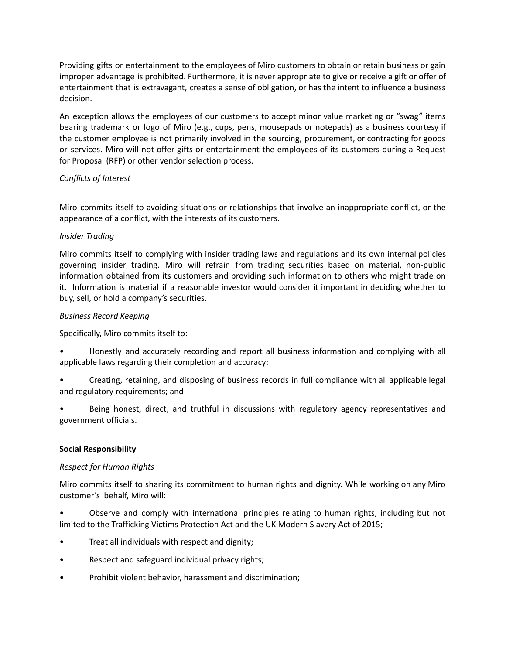Providing gifts or entertainment to the employees of Miro customers to obtain or retain business or gain improper advantage is prohibited. Furthermore, it is never appropriate to give or receive a gift or offer of entertainment that is extravagant, creates a sense of obligation, or has the intent to influence a business decision.

An exception allows the employees of our customers to accept minor value marketing or "swag" items bearing trademark or logo of Miro (e.g., cups, pens, mousepads or notepads) as a business courtesy if the customer employee is not primarily involved in the sourcing, procurement, or contracting for goods or services. Miro will not offer gifts or entertainment the employees of its customers during a Request for Proposal (RFP) or other vendor selection process.

# *Conflicts of Interest*

Miro commits itself to avoiding situations or relationships that involve an inappropriate conflict, or the appearance of a conflict, with the interests of its customers.

# *Insider Trading*

Miro commits itself to complying with insider trading laws and regulations and its own internal policies governing insider trading. Miro will refrain from trading securities based on material, non-public information obtained from its customers and providing such information to others who might trade on it. Information is material if a reasonable investor would consider it important in deciding whether to buy, sell, or hold a company's securities.

# *Business Record Keeping*

Specifically, Miro commits itself to:

- Honestly and accurately recording and report all business information and complying with all applicable laws regarding their completion and accuracy;
- Creating, retaining, and disposing of business records in full compliance with all applicable legal and regulatory requirements; and
- Being honest, direct, and truthful in discussions with regulatory agency representatives and government officials.

# **Social Responsibility**

### *Respect for Human Rights*

Miro commits itself to sharing its commitment to human rights and dignity. While working on any Miro customer's behalf, Miro will:

• Observe and comply with international principles relating to human rights, including but not limited to the Trafficking Victims Protection Act and the UK Modern Slavery Act of 2015;

- Treat all individuals with respect and dignity;
- Respect and safeguard individual privacy rights;
- Prohibit violent behavior, harassment and discrimination;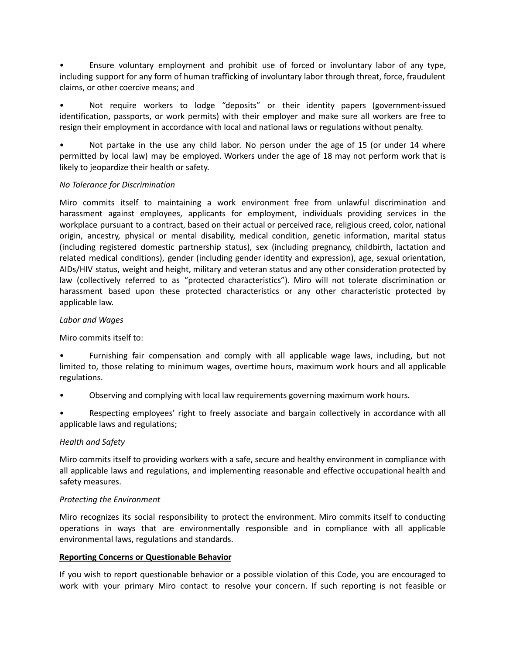• Ensure voluntary employment and prohibit use of forced or involuntary labor of any type, including support for any form of human trafficking of involuntary labor through threat, force, fraudulent claims, or other coercive means; and

• Not require workers to lodge "deposits" or their identity papers (government-issued identification, passports, or work permits) with their employer and make sure all workers are free to resign their employment in accordance with local and national laws or regulations without penalty.

• Not partake in the use any child labor. No person under the age of 15 (or under 14 where permitted by local law) may be employed. Workers under the age of 18 may not perform work that is likely to jeopardize their health or safety.

### *No Tolerance for Discrimination*

Miro commits itself to maintaining a work environment free from unlawful discrimination and harassment against employees, applicants for employment, individuals providing services in the workplace pursuant to a contract, based on their actual or perceived race, religious creed, color, national origin, ancestry, physical or mental disability, medical condition, genetic information, marital status (including registered domestic partnership status), sex (including pregnancy, childbirth, lactation and related medical conditions), gender (including gender identity and expression), age, sexual orientation, AIDs/HIV status, weight and height, military and veteran status and any other consideration protected by law (collectively referred to as "protected characteristics"). Miro will not tolerate discrimination or harassment based upon these protected characteristics or any other characteristic protected by applicable law.

# *Labor and Wages*

Miro commits itself to:

• Furnishing fair compensation and comply with all applicable wage laws, including, but not limited to, those relating to minimum wages, overtime hours, maximum work hours and all applicable regulations.

• Observing and complying with local law requirements governing maximum work hours.

• Respecting employees' right to freely associate and bargain collectively in accordance with all applicable laws and regulations;

### *Health and Safety*

Miro commits itself to providing workers with a safe, secure and healthy environment in compliance with all applicable laws and regulations, and implementing reasonable and effective occupational health and safety measures.

### *Protecting the Environment*

Miro recognizes its social responsibility to protect the environment. Miro commits itself to conducting operations in ways that are environmentally responsible and in compliance with all applicable environmental laws, regulations and standards.

### **Reporting Concerns or Questionable Behavior**

If you wish to report questionable behavior or a possible violation of this Code, you are encouraged to work with your primary Miro contact to resolve your concern. If such reporting is not feasible or